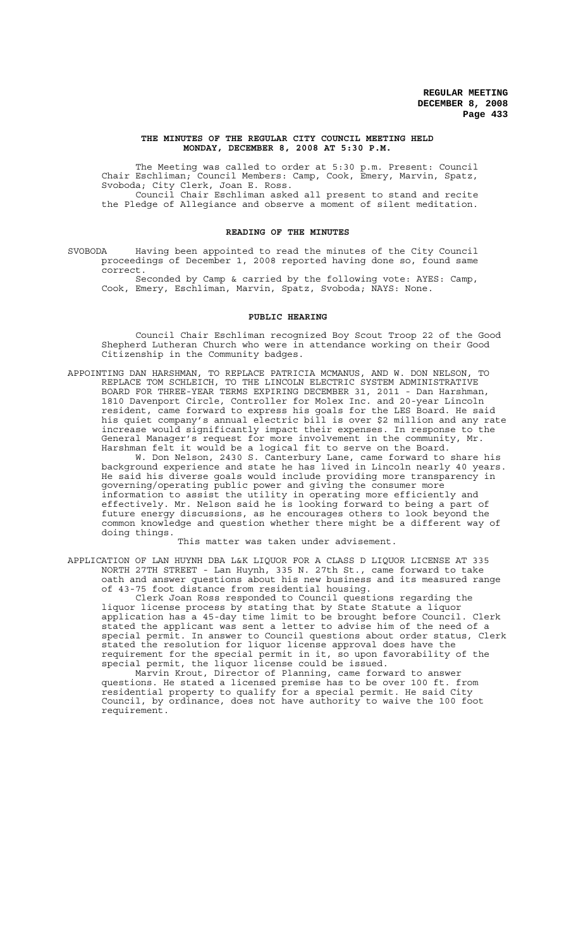### **THE MINUTES OF THE REGULAR CITY COUNCIL MEETING HELD MONDAY, DECEMBER 8, 2008 AT 5:30 P.M.**

The Meeting was called to order at 5:30 p.m. Present: Council Chair Eschliman; Council Members: Camp, Cook, Emery, Marvin, Spatz, Svoboda; City Clerk, Joan E. Ross. Council Chair Eschliman asked all present to stand and recite

the Pledge of Allegiance and observe a moment of silent meditation.

# **READING OF THE MINUTES**

SVOBODA Having been appointed to read the minutes of the City Council proceedings of December 1, 2008 reported having done so, found same correct.

Seconded by Camp & carried by the following vote: AYES: Camp, Cook, Emery, Eschliman, Marvin, Spatz, Svoboda; NAYS: None.

## **PUBLIC HEARING**

Council Chair Eschliman recognized Boy Scout Troop 22 of the Good Shepherd Lutheran Church who were in attendance working on their Good Citizenship in the Community badges.

APPOINTING DAN HARSHMAN, TO REPLACE PATRICIA MCMANUS, AND W. DON NELSON, TO REPLACE TOM SCHLEICH, TO THE LINCOLN ELECTRIC SYSTEM ADMINISTRATIVE BOARD FOR THREE-YEAR TERMS EXPIRING DECEMBER 31, 2011 - Dan Harshman, 1810 Davenport Circle, Controller for Molex Inc. and 20-year Lincoln resident, came forward to express his goals for the LES Board. He said his quiet company's annual electric bill is over \$2 million and any rate increase would significantly impact their expenses. In response to the General Manager's request for more involvement in the community, Mr. Harshman felt it would be a logical fit to serve on the Board.

W. Don Nelson, 2430 S. Canterbury Lane, came forward to share his background experience and state he has lived in Lincoln nearly 40 years. He said his diverse goals would include providing more transparency in governing/operating public power and giving the consumer more information to assist the utility in operating more efficiently and effectively. Mr. Nelson said he is looking forward to being a part of future energy discussions, as he encourages others to look beyond the common knowledge and question whether there might be a different way of doing things.

This matter was taken under advisement.

APPLICATION OF LAN HUYNH DBA L&K LIQUOR FOR A CLASS D LIQUOR LICENSE AT 335 NORTH 27TH STREET - Lan Huynh, 335 N. 27th St., came forward to take oath and answer questions about his new business and its measured range of 43-75 foot distance from residential housing.

Clerk Joan Ross responded to Council questions regarding the liquor license process by stating that by State Statute a liquor application has a 45-day time limit to be brought before Council. Clerk stated the applicant was sent a letter to advise him of the need of a special permit. In answer to Council questions about order status, Clerk stated the resolution for liquor license approval does have the requirement for the special permit in it, so upon favorability of the special permit, the liquor license could be issued.

Marvin Krout, Director of Planning, came forward to answer questions. He stated a licensed premise has to be over 100 ft. from residential property to qualify for a special permit. He said City Council, by ordinance, does not have authority to waive the 100 foot requirement.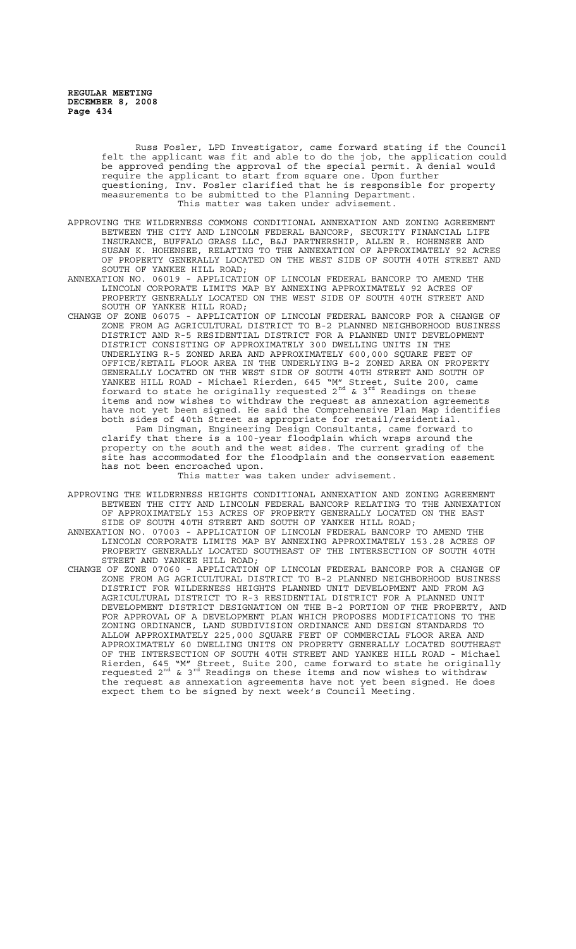Russ Fosler, LPD Investigator, came forward stating if the Council felt the applicant was fit and able to do the job, the application could be approved pending the approval of the special permit. A denial would require the applicant to start from square one. Upon further questioning, Inv. Fosler clarified that he is responsible for property measurements to be submitted to the Planning Department. This matter was taken under advisement.

- APPROVING THE WILDERNESS COMMONS CONDITIONAL ANNEXATION AND ZONING AGREEMENT BETWEEN THE CITY AND LINCOLN FEDERAL BANCORP, SECURITY FINANCIAL LIFE INSURANCE, BUFFALO GRASS LLC, B&J PARTNERSHIP, ALLEN R. HOHENSEE AND SUSAN K. HOHENSEE, RELATING TO THE ANNEXATION OF APPROXIMATELY 92 ACRES OF PROPERTY GENERALLY LOCATED ON THE WEST SIDE OF SOUTH 40TH STREET AND SOUTH OF YANKEE HILL ROAD;
- ANNEXATION NO. 06019 APPLICATION OF LINCOLN FEDERAL BANCORP TO AMEND THE LINCOLN CORPORATE LIMITS MAP BY ANNEXING APPROXIMATELY 92 ACRES OF PROPERTY GENERALLY LOCATED ON THE WEST SIDE OF SOUTH 40TH STREET AND SOUTH OF YANKEE HILL ROAD;
- CHANGE OF ZONE 06075 APPLICATION OF LINCOLN FEDERAL BANCORP FOR A CHANGE OF ZONE FROM AG AGRICULTURAL DISTRICT TO B-2 PLANNED NEIGHBORHOOD BUSINESS DISTRICT AND R-5 RESIDENTIAL DISTRICT FOR A PLANNED UNIT DEVELOPMENT DISTRICT CONSISTING OF APPROXIMATELY 300 DWELLING UNITS IN THE UNDERLYING R-5 ZONED AREA AND APPROXIMATELY 600,000 SQUARE FEET OF OFFICE/RETAIL FLOOR AREA IN THE UNDERLYING B-2 ZONED AREA ON PROPERTY GENERALLY LOCATED ON THE WEST SIDE OF SOUTH 40TH STREET AND SOUTH OF YANKEE HILL ROAD - Michael Rierden, 645 "M" Street, Suite 200, came forward to state he originally requested  $2^{nd}$  &  $3^{rd}$  Readings on these items and now wishes to withdraw the request as annexation agreements have not yet been signed. He said the Comprehensive Plan Map identifies both sides of 40th Street as appropriate for retail/residential. Pam Dingman, Engineering Design Consultants, came forward to clarify that there is a 100-year floodplain which wraps around the property on the south and the west sides. The current grading of the property that is consided for the floodplain and the conservation easement has not been encroached upon. This matter was taken under advisement.
- APPROVING THE WILDERNESS HEIGHTS CONDITIONAL ANNEXATION AND ZONING AGREEMENT BETWEEN THE CITY AND LINCOLN FEDERAL BANCORP RELATING TO THE ANNEXATION OF APPROXIMATELY 153 ACRES OF PROPERTY GENERALLY LOCATED ON THE EAST SIDE OF SOUTH 40TH STREET AND SOUTH OF YANKEE HILL ROAD;
- ANNEXATION NO. 07003 APPLICATION OF LINCOLN FEDERAL BANCORP TO AMEND THE LINCOLN CORPORATE LIMITS MAP BY ANNEXING APPROXIMATELY 153.28 ACRES OF PROPERTY GENERALLY LOCATED SOUTHEAST OF THE INTERSECTION OF SOUTH 40TH STREET AND YANKEE HILL ROAD;<br>CHANGE OF ZONE 07060 - APPLICATION
- ZONE 07060 APPLICATION OF LINCOLN FEDERAL BANCORP FOR A CHANGE OF ZONE FROM AG AGRICULTURAL DISTRICT TO B-2 PLANNED NEIGHBORHOOD BUSINESS DISTRICT FOR WILDERNESS HEIGHTS PLANNED UNIT DEVELOPMENT AND FROM AG AGRICULTURAL DISTRICT TO R-3 RESIDENTIAL DISTRICT FOR A PLANNED UNIT DEVELOPMENT DISTRICT DESIGNATION ON THE B-2 PORTION OF THE PROPERTY, FOR APPROVAL OF A DEVELOPMENT PLAN WHICH PROPOSES MODIFICATIONS TO THE ZONING ORDINANCE, LAND SUBDIVISION ORDINANCE AND DESIGN STANDARDS TO ALLOW APPROXIMATELY 225,000 SQUARE FEET OF COMMERCIAL FLOOR AREA AND APPROXIMATELY 60 DWELLING UNITS ON PROPERTY GENERALLY LOCATED SOUTHEAST OF THE INTERSECTION OF SOUTH 40TH STREET AND YANKEE HILL ROAD - Michael Rierden, 645 "M" Street, Suite 200, came forward to state he originally requested 2<sup>nd</sup> & 3<sup>rd</sup> Readings on these items and now wishes to withdraw the request as annexation agreements have not yet been signed. He does expect them to be signed by next week's Council Meeting.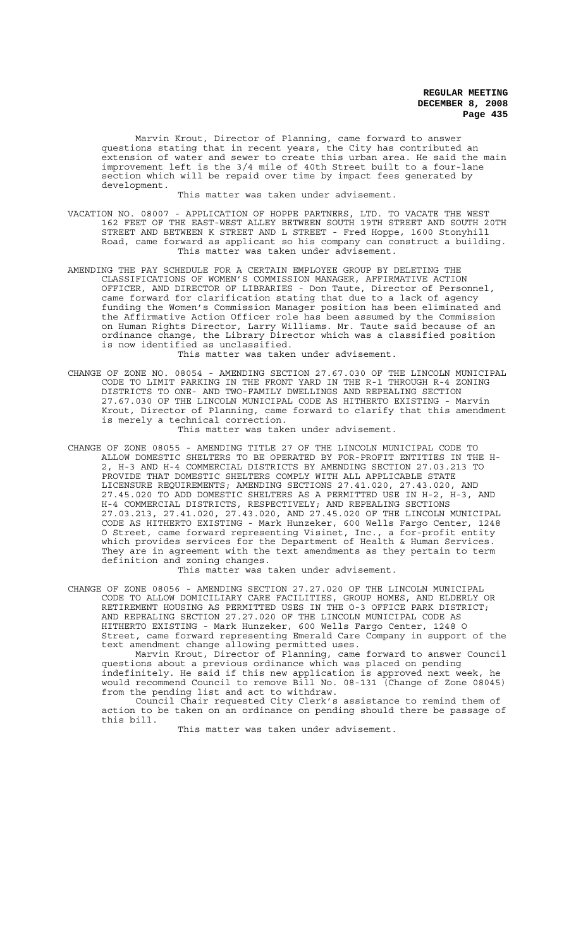Marvin Krout, Director of Planning, came forward to answer questions stating that in recent years, the City has contributed an extension of water and sewer to create this urban area. He said the main improvement left is the 3/4 mile of 40th Street built to a four-lane section which will be repaid over time by impact fees generated by development.

This matter was taken under advisement.

- VACATION NO. 08007 APPLICATION OF HOPPE PARTNERS, LTD. TO VACATE THE WEST 162 FEET OF THE EAST-WEST ALLEY BETWEEN SOUTH 19TH STREET AND SOUTH 20TH STREET AND BETWEEN K STREET AND L STREET - Fred Hoppe, 1600 Stonyhill Road, came forward as applicant so his company can construct a building. This matter was taken under advisement.
- AMENDING THE PAY SCHEDULE FOR A CERTAIN EMPLOYEE GROUP BY DELETING THE CLASSIFICATIONS OF WOMEN'S COMMISSION MANAGER, AFFIRMATIVE ACTION OFFICER, AND DIRECTOR OF LIBRARIES - Don Taute, Director of Personnel, came forward for clarification stating that due to a lack of agency funding the Women's Commission Manager position has been eliminated and the Affirmative Action Officer role has been assumed by the Commission on Human Rights Director, Larry Williams. Mr. Taute said because of an ordinance change, the Library Director which was a classified position is now identified as unclassified.

This matter was taken under advisement.

CHANGE OF ZONE NO. 08054 - AMENDING SECTION 27.67.030 OF THE LINCOLN MUNICIPAL CODE TO LIMIT PARKING IN THE FRONT YARD IN THE R-1 THROUGH R-4 ZONING DISTRICTS TO ONE- AND TWO-FAMILY DWELLINGS AND REPEALING SECTION 27.67.030 OF THE LINCOLN MUNICIPAL CODE AS HITHERTO EXISTING - Marvin Krout, Director of Planning, came forward to clarify that this amendment is merely a technical correction.

This matter was taken under advisement.

CHANGE OF ZONE 08055 - AMENDING TITLE 27 OF THE LINCOLN MUNICIPAL CODE TO ALLOW DOMESTIC SHELTERS TO BE OPERATED BY FOR-PROFIT ENTITIES IN THE H-2, H-3 AND H-4 COMMERCIAL DISTRICTS BY AMENDING SECTION 27.03.213 TO PROVIDE THAT DOMESTIC SHELTERS COMPLY WITH ALL APPLICABLE STATE LICENSURE REQUIREMENTS; AMENDING SECTIONS 27.41.020, 27.43.020, AND 27.45.020 TO ADD DOMESTIC SHELTERS AS A PERMITTED USE IN H-2, H-3, AND H-4 COMMERCIAL DISTRICTS, RESPECTIVELY; AND REPEALING SECTIONS 27.03.213, 27.41.020, 27.43.020, AND 27.45.020 OF THE LINCOLN MUNICIPAL CODE AS HITHERTO EXISTING - Mark Hunzeker, 600 Wells Fargo Center, 1248 O Street, came forward representing Visinet, Inc., a for-profit entity which provides services for the Department of Health & Human Services. They are in agreement with the text amendments as they pertain to term definition and zoning changes.

This matter was taken under advisement.

CHANGE OF ZONE 08056 - AMENDING SECTION 27.27.020 OF THE LINCOLN MUNICIPAL CODE TO ALLOW DOMICILIARY CARE FACILITIES, GROUP HOMES, AND ELDERLY OR RETIREMENT HOUSING AS PERMITTED USES IN THE O-3 OFFICE PARK DISTRICT; AND REPEALING SECTION 27.27.020 OF THE LINCOLN MUNICIPAL CODE AS HITHERTO EXISTING - Mark Hunzeker, 600 Wells Fargo Center, 1248 O Street, came forward representing Emerald Care Company in support of the text amendment change allowing permitted uses.

Marvin Krout, Director of Planning, came forward to answer Council questions about a previous ordinance which was placed on pending indefinitely. He said if this new application is approved next week, he would recommend Council to remove Bill No. 08-131 (Change of Zone 08045) from the pending list and act to withdraw.

Council Chair requested City Clerk's assistance to remind them of action to be taken on an ordinance on pending should there be passage of this bill.

This matter was taken under advisement.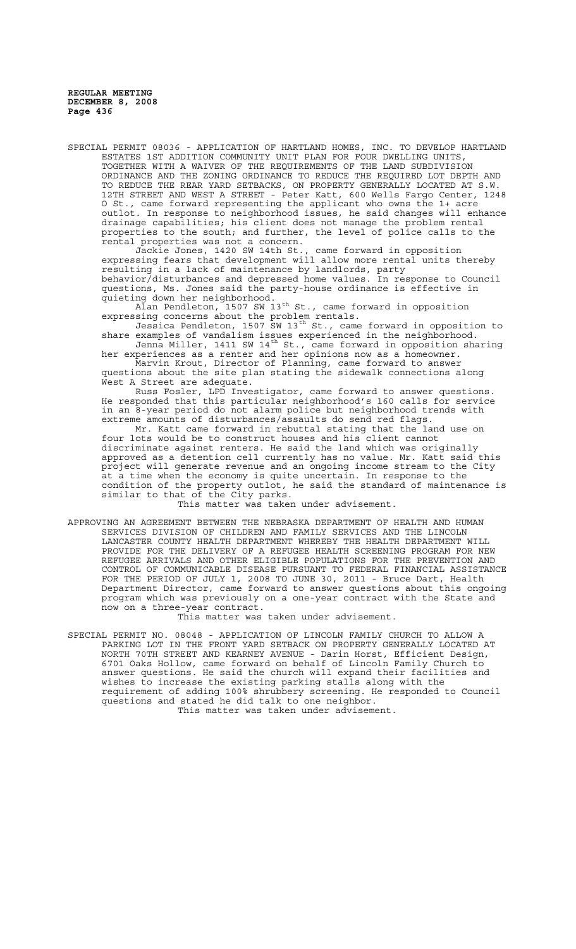SPECIAL PERMIT 08036 - APPLICATION OF HARTLAND HOMES, INC. TO DEVELOP HARTLAND ESTATES 1ST ADDITION COMMUNITY UNIT PLAN FOR FOUR DWELLING UNITS, TOGETHER WITH A WAIVER OF THE REQUIREMENTS OF THE LAND SUBDIVISION ORDINANCE AND THE ZONING ORDINANCE TO REDUCE THE REQUIRED LOT DEPTH AND TO REDUCE THE REAR YARD SETBACKS, ON PROPERTY GENERALLY LOCATED AT S.W. 12TH STREET AND WEST A STREET - Peter Katt, 600 Wells Fargo Center, 1248 O St., came forward representing the applicant who owns the 1+ acre outlot. In response to neighborhood issues, he said changes will enhance drainage capabilities; his client does not manage the problem rental properties to the south; and further, the level of police calls to the rental properties was not a concern.

Jackie Jones, 1420 SW 14th St., came forward in opposition expressing fears that development will allow more rental units thereby resulting in a lack of maintenance by landlords, party behavior/disturbances and depressed home values. In response to Council questions, Ms. Jones said the party-house ordinance is effective in quieting down her neighborhood.

 $\bar{\text{Al}}$ an Pendleton, 1507 SW 13 $^{\text{th}}$  St., came forward in opposition expressing concerns about the problem rentals.

Jessica Pendleton, 1507 SW 13<sup>th</sup> St., came forward in opposition to share examples of vandalism issues experienced in the neighborhood. Jenna Miller, 1411 SW 14th St., came forward in opposition sharing

her experiences as a renter and her opinions now as a homeowner. Marvin Krout, Director of Planning, came forward to answer

questions about the site plan stating the sidewalk connections along West A Street are adequate.

Russ Fosler, LPD Investigator, came forward to answer questions. He responded that this particular neighborhood's 160 calls for service in an 8-year period do not alarm police but neighborhood trends with extreme amounts of disturbances/assaults do send red flags.

Mr. Katt came forward in rebuttal stating that the land use on four lots would be to construct houses and his client cannot discriminate against renters. He said the land which was originally approved as a detention cell currently has no value. Mr. Katt said this project will generate revenue and an ongoing income stream to the City at a time when the economy is quite uncertain. In response to the condition of the property outlot, he said the standard of maintenance is similar to that of the City parks.

This matter was taken under advisement.

APPROVING AN AGREEMENT BETWEEN THE NEBRASKA DEPARTMENT OF HEALTH AND HUMAN SERVICES DIVISION OF CHILDREN AND FAMILY SERVICES AND THE LINCOLN LANCASTER COUNTY HEALTH DEPARTMENT WHEREBY THE HEALTH DEPARTMENT WILL PROVIDE FOR THE DELIVERY OF A REFUGEE HEALTH SCREENING PROGRAM FOR NEW REFUGEE ARRIVALS AND OTHER ELIGIBLE POPULATIONS FOR THE PREVENTION AND CONTROL OF COMMUNICABLE DISEASE PURSUANT TO FEDERAL FINANCIAL ASSISTANCE FOR THE PERIOD OF JULY 1, 2008 TO JUNE 30, 2011 - Bruce Dart, Health Department Director, came forward to answer questions about this ongoing program which was previously on a one-year contract with the State and now on a three-year contract.

This matter was taken under advisement.

SPECIAL PERMIT NO. 08048 - APPLICATION OF LINCOLN FAMILY CHURCH TO ALLOW A PARKING LOT IN THE FRONT YARD SETBACK ON PROPERTY GENERALLY LOCATED AT NORTH 70TH STREET AND KEARNEY AVENUE - Darin Horst, Efficient Design, 6701 Oaks Hollow, came forward on behalf of Lincoln Family Church to answer questions. He said the church will expand their facilities and wishes to increase the existing parking stalls along with the requirement of adding 100% shrubbery screening. He responded to Council questions and stated he did talk to one neighbor. This matter was taken under advisement.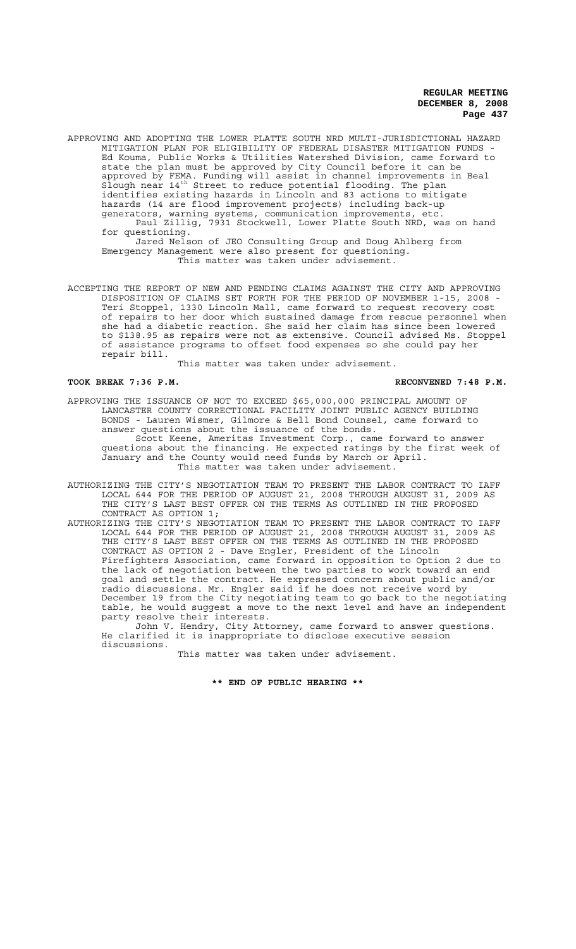APPROVING AND ADOPTING THE LOWER PLATTE SOUTH NRD MULTI-JURISDICTIONAL HAZARD MITIGATION PLAN FOR ELIGIBILITY OF FEDERAL DISASTER MITIGATION FUNDS - Ed Kouma, Public Works & Utilities Watershed Division, came forward to state the plan must be approved by City Council before it can be approved by FEMA. Funding will assist in channel improvements in Beal Slough near 14th Street to reduce potential flooding. The plan identifies existing hazards in Lincoln and 83 actions to mitigate hazards (14 are flood improvement projects) including back-up generators, warning systems, communication improvements, etc. Paul Zillig, 7931 Stockwell, Lower Platte South NRD, was on hand for questioning.

Jared Nelson of JEO Consulting Group and Doug Ahlberg from Emergency Management were also present for questioning. This matter was taken under advisement.

ACCEPTING THE REPORT OF NEW AND PENDING CLAIMS AGAINST THE CITY AND APPROVING DISPOSITION OF CLAIMS SET FORTH FOR THE PERIOD OF NOVEMBER 1-15, 2008 - Teri Stoppel, 1330 Lincoln Mall, came forward to request recovery cost of repairs to her door which sustained damage from rescue personnel when she had a diabetic reaction. She said her claim has since been lowered to \$138.95 as repairs were not as extensive. Council advised Ms. Stoppel of assistance programs to offset food expenses so she could pay her repair bill.

This matter was taken under advisement.

### TOOK BREAK 7:36 P.M. **RECONVENED 7:48 P.M.** RECONVENED 7:48 P.M.

- APPROVING THE ISSUANCE OF NOT TO EXCEED \$65,000,000 PRINCIPAL AMOUNT OF LANCASTER COUNTY CORRECTIONAL FACILITY JOINT PUBLIC AGENCY BUILDING BONDS - Lauren Wismer, Gilmore & Bell Bond Counsel, came forward to answer questions about the issuance of the bonds. Scott Keene, Ameritas Investment Corp., came forward to answer questions about the financing. He expected ratings by the first week of January and the County would need funds by March or April. This matter was taken under advisement.
- AUTHORIZING THE CITY'S NEGOTIATION TEAM TO PRESENT THE LABOR CONTRACT TO IAFF LOCAL 644 FOR THE PERIOD OF AUGUST 21, 2008 THROUGH AUGUST 31, 2009 AS THE CITY'S LAST BEST OFFER ON THE TERMS AS OUTLINED IN THE PROPOSED CONTRACT AS OPTION 1;
- AUTHORIZING THE CITY'S NEGOTIATION TEAM TO PRESENT THE LABOR CONTRACT TO IAFF LOCAL 644 FOR THE PERIOD OF AUGUST 21, 2008 THROUGH AUGUST 31, 2009 AS THE CITY'S LAST BEST OFFER ON THE TERMS AS OUTLINED IN THE PROPOSED CONTRACT AS OPTION 2 - Dave Engler, President of the Lincoln Firefighters Association, came forward in opposition to Option 2 due to the lack of negotiation between the two parties to work toward an end goal and settle the contract. He expressed concern about public and/or radio discussions. Mr. Engler said if he does not receive word by December 19 from the City negotiating team to go back to the negotiating table, he would suggest a move to the next level and have an independent party resolve their interests.

John V. Hendry, City Attorney, came forward to answer questions. He clarified it is inappropriate to disclose executive session discussions.

This matter was taken under advisement.

# **\*\* END OF PUBLIC HEARING \*\***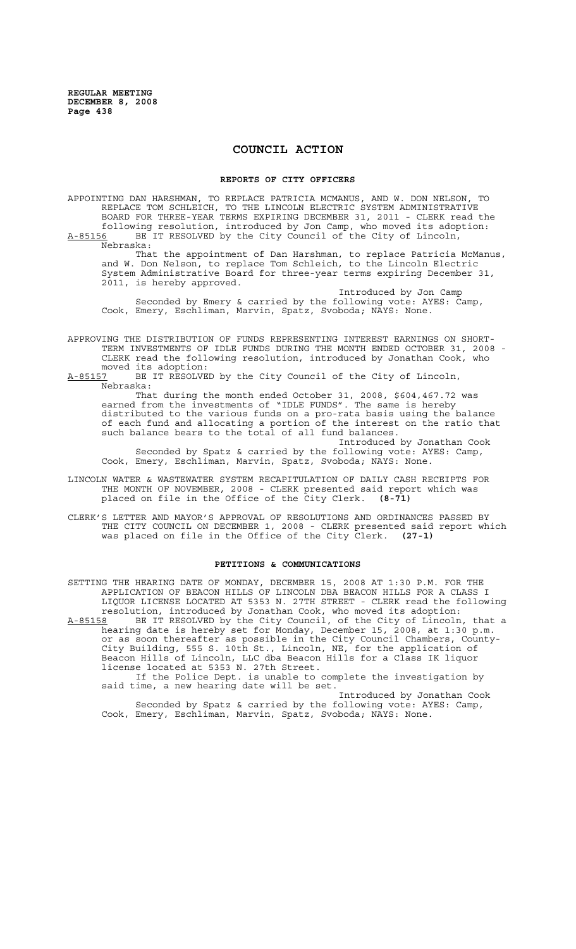# **COUNCIL ACTION**

### **REPORTS OF CITY OFFICERS**

APPOINTING DAN HARSHMAN, TO REPLACE PATRICIA MCMANUS, AND W. DON NELSON, TO REPLACE TOM SCHLEICH, TO THE LINCOLN ELECTRIC SYSTEM ADMINISTRATIVE BOARD FOR THREE-YEAR TERMS EXPIRING DECEMBER 31, 2011 - CLERK read the following resolution, introduced by Jon Camp, who moved its adoption: A-85156 BE IT RESOLVED by the City Council of the City of Lincoln, Nebraska:

That the appointment of Dan Harshman, to replace Patricia McManus, and W. Don Nelson, to replace Tom Schleich, to the Lincoln Electric System Administrative Board for three-year terms expiring December 31, 2011, is hereby approved.

Introduced by Jon Camp Seconded by Emery & carried by the following vote: AYES: Camp, Cook, Emery, Eschliman, Marvin, Spatz, Svoboda; NAYS: None.

APPROVING THE DISTRIBUTION OF FUNDS REPRESENTING INTEREST EARNINGS ON SHORT-TERM INVESTMENTS OF IDLE FUNDS DURING THE MONTH ENDED OCTOBER 31, 2008 - CLERK read the following resolution, introduced by Jonathan Cook, who moved its adoption:<br>A-85157 BE IT RESOLVE

BE IT RESOLVED by the City Council of the City of Lincoln, Nebraska:

That during the month ended October 31, 2008, \$604,467.72 was earned from the investments of "IDLE FUNDS". The same is hereby distributed to the various funds on a pro-rata basis using the balance of each fund and allocating a portion of the interest on the ratio that such balance bears to the total of all fund balances.

Introduced by Jonathan Cook Seconded by Spatz & carried by the following vote: AYES: Camp, Cook, Emery, Eschliman, Marvin, Spatz, Svoboda; NAYS: None.

LINCOLN WATER & WASTEWATER SYSTEM RECAPITULATION OF DAILY CASH RECEIPTS FOR THE MONTH OF NOVEMBER, 2008 - CLERK presented said report which was placed on file in the Office of the City Clerk. **(8-71)**

CLERK'S LETTER AND MAYOR'S APPROVAL OF RESOLUTIONS AND ORDINANCES PASSED BY THE CITY COUNCIL ON DECEMBER 1, 2008 - CLERK presented said report which was placed on file in the Office of the City Clerk. **(27-1)**

# **PETITIONS & COMMUNICATIONS**

SETTING THE HEARING DATE OF MONDAY, DECEMBER 15, 2008 AT 1:30 P.M. FOR THE APPLICATION OF BEACON HILLS OF LINCOLN DBA BEACON HILLS FOR A CLASS I LIQUOR LICENSE LOCATED AT 5353 N. 27TH STREET - CLERK read the following resolution, introduced by Jonathan Cook, who moved its adoption: A-85158 BE IT RESOLVED by the City Council, of the City of Lincoln, that a hearing date is hereby set for Monday, December 15, 2008, at 1:30 p.m. or as soon thereafter as possible in the City Council Chambers, County-City Building, 555 S. 10th St., Lincoln, NE, for the application of Beacon Hills of Lincoln, LLC dba Beacon Hills for a Class IK liquor license located at 5353 N. 27th Street. If the Police Dept. is unable to complete the investigation by said time, a new hearing date will be set. Introduced by Jonathan Cook

Seconded by Spatz & carried by the following vote: AYES: Camp, Cook, Emery, Eschliman, Marvin, Spatz, Svoboda; NAYS: None.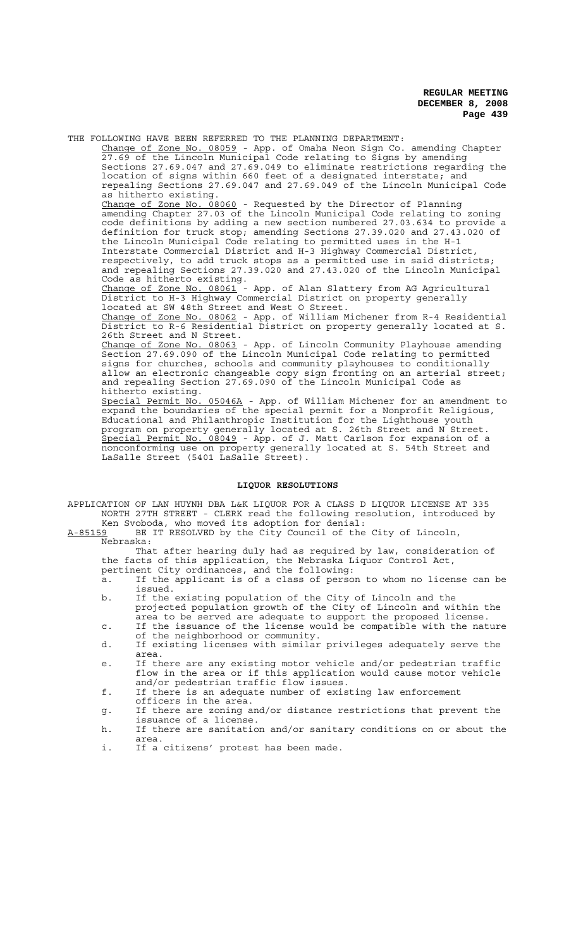THE FOLLOWING HAVE BEEN REFERRED TO THE PLANNING DEPARTMENT: Change of Zone No. 08059 - App. of Omaha Neon Sign Co. amending Chapter 27.69 of the Lincoln Municipal Code relating to Signs by amending Sections 27.69.047 and 27.69.049 to eliminate restrictions regarding the location of signs within 660 feet of a designated interstate; and repealing Sections 27.69.047 and 27.69.049 of the Lincoln Municipal Code as hitherto existing. Change of Zone No. 08060 - Requested by the Director of Planning amending Chapter 27.03 of the Lincoln Municipal Code relating to zoning code definitions by adding a new section numbered 27.03.634 to provide a definition for truck stop; amending Sections 27.39.020 and 27.43.020 of the Lincoln Municipal Code relating to permitted uses in the H-1 Interstate Commercial District and H-3 Highway Commercial District, respectively, to add truck stops as a permitted use in said districts; and repealing Sections 27.39.020 and 27.43.020 of the Lincoln Municipal Code as hitherto existing. Change of Zone No. 08061 - App. of Alan Slattery from AG Agricultural District to H-3 Highway Commercial District on property generally located at SW 48th Street and West O Street. Change of Zone No. 08062 - App. of William Michener from R-4 Residential District to R-6 Residential District on property generally located at S. 26th Street and N Street. Change of Zone No. 08063 - App. of Lincoln Community Playhouse amending Section 27.69.090 of the Lincoln Municipal Code relating to permitted signs for churches, schools and community playhouses to conditionally allow an electronic changeable copy sign fronting on an arterial street; and repealing Section 27.69.090 of the Lincoln Municipal Code as hitherto existing. Special Permit No. 05046A - App. of William Michener for an amendment to expand the boundaries of the special permit for a Nonprofit Religious, Educational and Philanthropic Institution for the Lighthouse youth program on property generally located at S. 26th Street and N Street. Special Permit No. 08049 - App. of J. Matt Carlson for expansion of a nonconforming use on property generally located at S. 54th Street and LaSalle Street (5401 LaSalle Street).

### **LIQUOR RESOLUTIONS**

- APPLICATION OF LAN HUYNH DBA L&K LIQUOR FOR A CLASS D LIQUOR LICENSE AT 335 NORTH 27TH STREET - CLERK read the following resolution, introduced by Ken Svoboda, who moved its adoption for denial:
- A-85159 BE IT RESOLVED by the City Council of the City of Lincoln, Nebraska:

That after hearing duly had as required by law, consideration of the facts of this application, the Nebraska Liquor Control Act, pertinent City ordinances, and the following:

- a. If the applicant is of a class of person to whom no license can be issued.
- b. If the existing population of the City of Lincoln and the projected population growth of the City of Lincoln and within the area to be served are adequate to support the proposed license.
- c. If the issuance of the license would be compatible with the nature of the neighborhood or community.
- d. If existing licenses with similar privileges adequately serve the area.
- e. If there are any existing motor vehicle and/or pedestrian traffic flow in the area or if this application would cause motor vehicle and/or pedestrian traffic flow issues.
- f. If there is an adequate number of existing law enforcement officers in the area.
- g. If there are zoning and/or distance restrictions that prevent the issuance of a license.
- h. If there are sanitation and/or sanitary conditions on or about the area.
- i. If a citizens' protest has been made.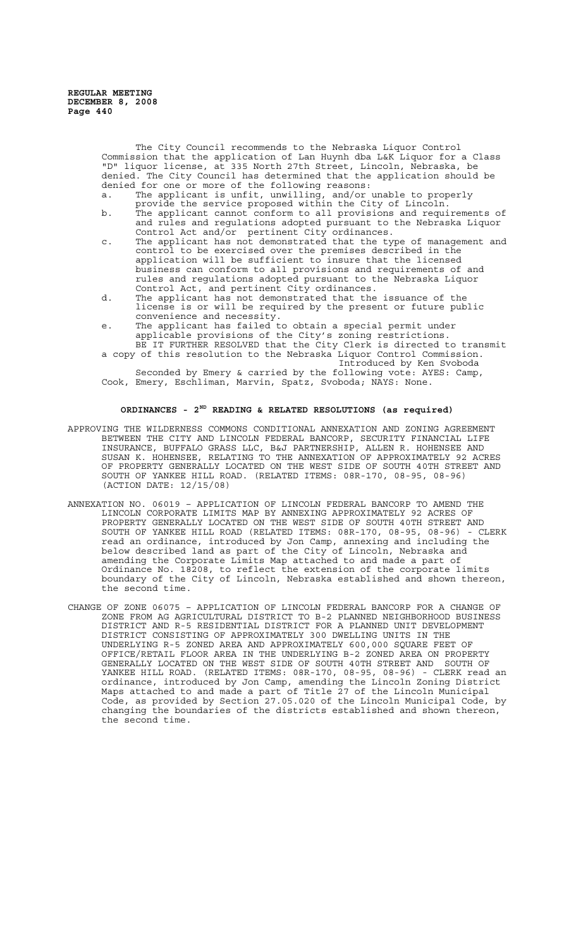The City Council recommends to the Nebraska Liquor Control Commission that the application of Lan Huynh dba L&K Liquor for a Class "D" liquor license, at 335 North 27th Street, Lincoln, Nebraska, be denied. The City Council has determined that the application should be denied for one or more of the following reasons:

a. The applicant is unfit, unwilling, and/or unable to properly provide the service proposed within the City of Lincoln.

- b. The applicant cannot conform to all provisions and requirements of and rules and regulations adopted pursuant to the Nebraska Liquor Control Act and/or pertinent City ordinances.
- c. The applicant has not demonstrated that the type of management and control to be exercised over the premises described in the application will be sufficient to insure that the licensed business can conform to all provisions and requirements of and rules and regulations adopted pursuant to the Nebraska Liquor Control Act, and pertinent City ordinances.
- d. The applicant has not demonstrated that the issuance of the license is or will be required by the present or future public convenience and necessity.
- e. The applicant has failed to obtain a special permit under applicable provisions of the City's zoning restrictions.
- BE IT FURTHER RESOLVED that the City Clerk is directed to transmit a copy of this resolution to the Nebraska Liquor Control Commission. Introduced by Ken Svoboda

Seconded by Emery & carried by the following vote: AYES: Camp, Cook, Emery, Eschliman, Marvin, Spatz, Svoboda; NAYS: None.

# **ORDINANCES - 2ND READING & RELATED RESOLUTIONS (as required)**

- APPROVING THE WILDERNESS COMMONS CONDITIONAL ANNEXATION AND ZONING AGREEMENT BETWEEN THE CITY AND LINCOLN FEDERAL BANCORP, SECURITY FINANCIAL LIFE INSURANCE, BUFFALO GRASS LLC, B&J PARTNERSHIP, ALLEN R. HOHENSEE AND SUSAN K. HOHENSEE, RELATING TO THE ANNEXATION OF APPROXIMATELY 92 ACRES OF PROPERTY GENERALLY LOCATED ON THE WEST SIDE OF SOUTH 40TH STREET AND SOUTH OF YANKEE HILL ROAD. (RELATED ITEMS: 08R-170, 08-95, 08-96) (ACTION DATE: 12/15/08)
- ANNEXATION NO. 06019 APPLICATION OF LINCOLN FEDERAL BANCORP TO AMEND THE LINCOLN CORPORATE LIMITS MAP BY ANNEXING APPROXIMATELY 92 ACRES OF PROPERTY GENERALLY LOCATED ON THE WEST SIDE OF SOUTH 40TH STREET AND SOUTH OF YANKEE HILL ROAD (RELATED ITEMS: 08R-170, 08-95, 08-96) - CLERK read an ordinance, introduced by Jon Camp, annexing and including the below described land as part of the City of Lincoln, Nebraska and amending the Corporate Limits Map attached to and made a part of Ordinance No. 18208, to reflect the extension of the corporate limits boundary of the City of Lincoln, Nebraska established and shown thereon, the second time.
- CHANGE OF ZONE 06075 APPLICATION OF LINCOLN FEDERAL BANCORP FOR A CHANGE OF ZONE FROM AG AGRICULTURAL DISTRICT TO B-2 PLANNED NEIGHBORHOOD BUSINESS DISTRICT AND R-5 RESIDENTIAL DISTRICT FOR A PLANNED UNIT DEVELOPMENT DISTRICT CONSISTING OF APPROXIMATELY 300 DWELLING UNITS IN THE UNDERLYING R-5 ZONED AREA AND APPROXIMATELY 600,000 SQUARE FEET OF OFFICE/RETAIL FLOOR AREA IN THE UNDERLYING B-2 ZONED AREA ON PROPERTY GENERALLY LOCATED ON THE WEST SIDE OF SOUTH 40TH STREET AND SOUTH OF YANKEE HILL ROAD. (RELATED ITEMS: 08R-170, 08-95, 08-96) - CLERK read an ordinance, introduced by Jon Camp, amending the Lincoln Zoning District Maps attached to and made a part of Title 27 of the Lincoln Municipal Code, as provided by Section 27.05.020 of the Lincoln Municipal Code, by changing the boundaries of the districts established and shown thereon, the second time.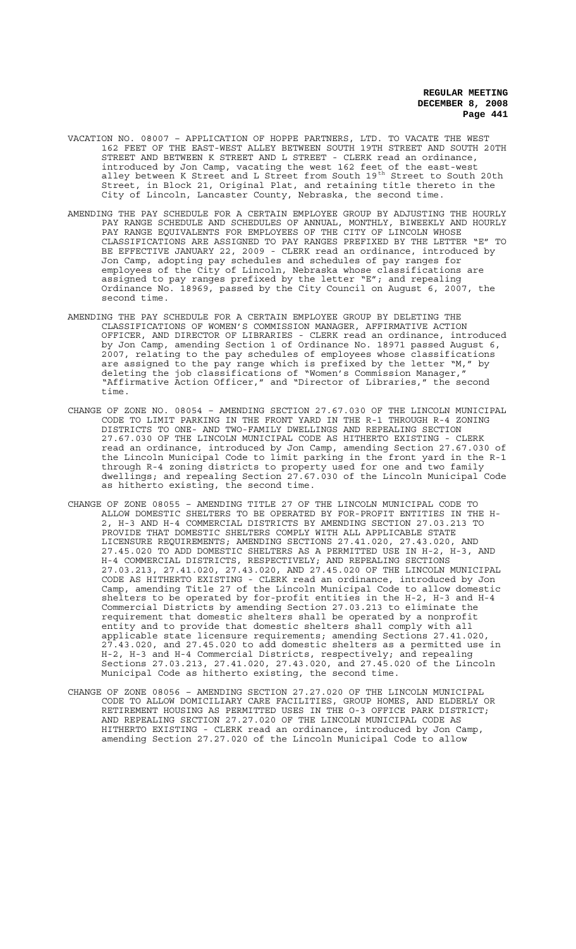- VACATION NO. 08007 APPLICATION OF HOPPE PARTNERS, LTD. TO VACATE THE WEST 162 FEET OF THE EAST-WEST ALLEY BETWEEN SOUTH 19TH STREET AND SOUTH 20TH STREET AND BETWEEN K STREET AND L STREET - CLERK read an ordinance, introduced by Jon Camp, vacating the west 162 feet of the east-west alley between K Street and L Street from South 19<sup>th</sup> Street to South 20th Street, in Block 21, Original Plat, and retaining title thereto in the City of Lincoln, Lancaster County, Nebraska, the second time.
- AMENDING THE PAY SCHEDULE FOR A CERTAIN EMPLOYEE GROUP BY ADJUSTING THE HOURLY PAY RANGE SCHEDULE AND SCHEDULES OF ANNUAL, MONTHLY, BIWEEKLY AND HOURLY PAY RANGE EQUIVALENTS FOR EMPLOYEES OF THE CITY OF LINCOLN WHOSE CLASSIFICATIONS ARE ASSIGNED TO PAY RANGES PREFIXED BY THE LETTER "E" TO BE EFFECTIVE JANUARY 22, 2009 - CLERK read an ordinance, introduced by Jon Camp, adopting pay schedules and schedules of pay ranges for employees of the City of Lincoln, Nebraska whose classifications are assigned to pay ranges prefixed by the letter "E"; and repealing Ordinance No. 18969, passed by the City Council on August 6, 2007, the second time.
- AMENDING THE PAY SCHEDULE FOR A CERTAIN EMPLOYEE GROUP BY DELETING THE CLASSIFICATIONS OF WOMEN'S COMMISSION MANAGER, AFFIRMATIVE ACTION OFFICER, AND DIRECTOR OF LIBRARIES - CLERK read an ordinance, introduced by Jon Camp, amending Section 1 of Ordinance No. 18971 passed August 6, 2007, relating to the pay schedules of employees whose classifications<br>are assigned to the pay range which is prefixed by the letter "M," by are assigned to the pay range which is prefixed by the letter "M," by deleting the job classifications of "Women's Commission Manager," "Affirmative Action Officer," and "Director of Libraries," the second time.
- CHANGE OF ZONE NO. 08054 AMENDING SECTION 27.67.030 OF THE LINCOLN MUNICIPAL CODE TO LIMIT PARKING IN THE FRONT YARD IN THE R-1 THROUGH R-4 ZONING DISTRICTS TO ONE- AND TWO-FAMILY DWELLINGS AND REPEALING SECTION 27.67.030 OF THE LINCOLN MUNICIPAL CODE AS HITHERTO EXISTING - CLERK read an ordinance, introduced by Jon Camp, amending Section 27.67.030 of the Lincoln Municipal Code to limit parking in the front yard in the R-1 through R-4 zoning districts to property used for one and two family dwellings; and repealing Section 27.67.030 of the Lincoln Municipal Code as hitherto existing, the second time.
- CHANGE OF ZONE 08055 AMENDING TITLE 27 OF THE LINCOLN MUNICIPAL CODE TO ALLOW DOMESTIC SHELTERS TO BE OPERATED BY FOR-PROFIT ENTITIES IN THE H-2, H-3 AND H-4 COMMERCIAL DISTRICTS BY AMENDING SECTION 27.03.213 TO PROVIDE THAT DOMESTIC SHELTERS COMPLY WITH ALL APPLICABLE STATE LICENSURE REQUIREMENTS; AMENDING SECTIONS 27.41.020, 27.43.020, AND 27.45.020 TO ADD DOMESTIC SHELTERS AS A PERMITTED USE IN H-2, H-3, AND H-4 COMMERCIAL DISTRICTS, RESPECTIVELY; AND REPEALING SECTIONS 27.03.213, 27.41.020, 27.43.020, AND 27.45.020 OF THE LINCOLN MUNICIPAL CODE AS HITHERTO EXISTING - CLERK read an ordinance, introduced by Jon Camp, amending Title 27 of the Lincoln Municipal Code to allow domestic shelters to be operated by for-profit entities in the H-2, H-3 and H-4 Commercial Districts by amending Section 27.03.213 to eliminate the requirement that domestic shelters shall be operated by a nonprofit entity and to provide that domestic shelters shall comply with all applicable state licensure requirements; amending Sections 27.41.020, 27.43.020, and 27.45.020 to add domestic shelters as a permitted use in H-2, H-3 and H-4 Commercial Districts, respectively; and repealing Sections 27.03.213, 27.41.020, 27.43.020, and 27.45.020 of the Lincoln Municipal Code as hitherto existing, the second time.
- CHANGE OF ZONE 08056 AMENDING SECTION 27.27.020 OF THE LINCOLN MUNICIPAL CODE TO ALLOW DOMICILIARY CARE FACILITIES, GROUP HOMES, AND ELDERLY OR RETIREMENT HOUSING AS PERMITTED USES IN THE O-3 OFFICE PARK DISTRICT; AND REPEALING SECTION 27.27.020 OF THE LINCOLN MUNICIPAL CODE AS HITHERTO EXISTING - CLERK read an ordinance, introduced by Jon Camp, amending Section 27.27.020 of the Lincoln Municipal Code to allow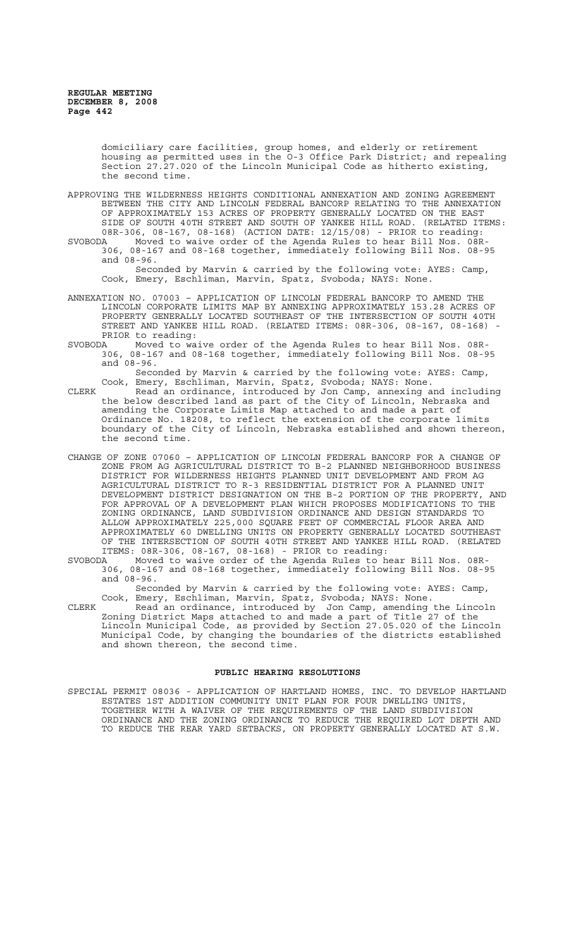domiciliary care facilities, group homes, and elderly or retirement housing as permitted uses in the O-3 Office Park District; and repealing Section 27.27.020 of the Lincoln Municipal Code as hitherto existing, the second time.

APPROVING THE WILDERNESS HEIGHTS CONDITIONAL ANNEXATION AND ZONING AGREEMENT BETWEEN THE CITY AND LINCOLN FEDERAL BANCORP RELATING TO THE ANNEXATION OF APPROXIMATELY 153 ACRES OF PROPERTY GENERALLY LOCATED ON THE EAST SIDE OF SOUTH 40TH STREET AND SOUTH OF YANKEE HILL ROAD. (RELATED ITEMS: 08R-306, 08-167, 08-168) (ACTION DATE: 12/15/08) - PRIOR to reading:

SVOBODA Moved to waive order of the Agenda Rules to hear Bill Nos. 08R-306, 08-167 and 08-168 together, immediately following Bill Nos. 08-95 and 08-96.

Seconded by Marvin & carried by the following vote: AYES: Camp, Cook, Emery, Eschliman, Marvin, Spatz, Svoboda; NAYS: None.

- ANNEXATION NO. 07003 APPLICATION OF LINCOLN FEDERAL BANCORP TO AMEND THE LINCOLN CORPORATE LIMITS MAP BY ANNEXING APPROXIMATELY 153.28 ACRES OF PROPERTY GENERALLY LOCATED SOUTHEAST OF THE INTERSECTION OF SOUTH 40TH STREET AND YANKEE HILL ROAD. (RELATED ITEMS: 08R-306, 08-167, 08-168) PRIOR to reading:<br>SVOBODA Moved to wa
- A Moved to waive order of the Agenda Rules to hear Bill Nos. 08R-<br>306, 08-167 and 08-168 together, immediately following Bill Nos. 08-9 306, 08-167 and 08-168 together, immediately following Bill Nos. 08-95 and 08-96.

Seconded by Marvin & carried by the following vote: AYES: Camp, Cook, Emery, Eschliman, Marvin, Spatz, Svoboda; NAYS: None.

CLERK Read an ordinance, introduced by Jon Camp, annexing and including the below described land as part of the City of Lincoln, Nebraska and amending the Corporate Limits Map attached to and made a part of Ordinance No. 18208, to reflect the extension of the corporate limits boundary of the City of Lincoln, Nebraska established and shown thereon, the second time.

- CHANGE OF ZONE 07060 APPLICATION OF LINCOLN FEDERAL BANCORP FOR A CHANGE OF ZONE FROM AG AGRICULTURAL DISTRICT TO B-2 PLANNED NEIGHBORHOOD BUSINESS DISTRICT FOR WILDERNESS HEIGHTS PLANNED UNIT DEVELOPMENT AND FROM AG AGRICULTURAL DISTRICT TO R-3 RESIDENTIAL DISTRICT FOR A PLANNED UNIT DEVELOPMENT DISTRICT DESIGNATION ON THE B-2 PORTION OF THE PROPERTY, AND FOR APPROVAL OF A DEVELOPMENT PLAN WHICH PROPOSES MODIFICATIONS TO THE ZONING ORDINANCE, LAND SUBDIVISION ORDINANCE AND DESIGN STANDARDS TO ALLOW APPROXIMATELY 225,000 SQUARE FEET OF COMMERCIAL FLOOR AREA AND APPROXIMATELY 60 DWELLING UNITS ON PROPERTY GENERALLY LOCATED SOUTHEAST OF THE INTERSECTION OF SOUTH 40TH STREET AND YANKEE HILL ROAD. (RELATED ITEMS: 08R-306, 08-167, 08-168) - PRIOR to reading:
- SVOBODA Moved to waive order of the Agenda Rules to hear Bill Nos. 08R-306, 08-167 and 08-168 together, immediately following Bill Nos. 08-95 and 08-96.

Seconded by Marvin & carried by the following vote: AYES: Camp, Cook, Emery, Eschliman, Marvin, Spatz, Svoboda; NAYS: None.<br>Read an ordinance, introduced by Jon Camp, amending

CLERK Read an ordinance, introduced by Jon Camp, amending the Lincoln Zoning District Maps attached to and made a part of Title 27 of the Lincoln Municipal Code, as provided by Section 27.05.020 of the Lincoln Municipal Code, by changing the boundaries of the districts established and shown thereon, the second time.

### **PUBLIC HEARING RESOLUTIONS**

SPECIAL PERMIT 08036 - APPLICATION OF HARTLAND HOMES, INC. TO DEVELOP HARTLAND ESTATES 1ST ADDITION COMMUNITY UNIT PLAN FOR FOUR DWELLING UNITS, TOGETHER WITH A WAIVER OF THE REQUIREMENTS OF THE LAND SUBDIVISION ORDINANCE AND THE ZONING ORDINANCE TO REDUCE THE REQUIRED LOT DEPTH AND TO REDUCE THE REAR YARD SETBACKS, ON PROPERTY GENERALLY LOCATED AT S.W.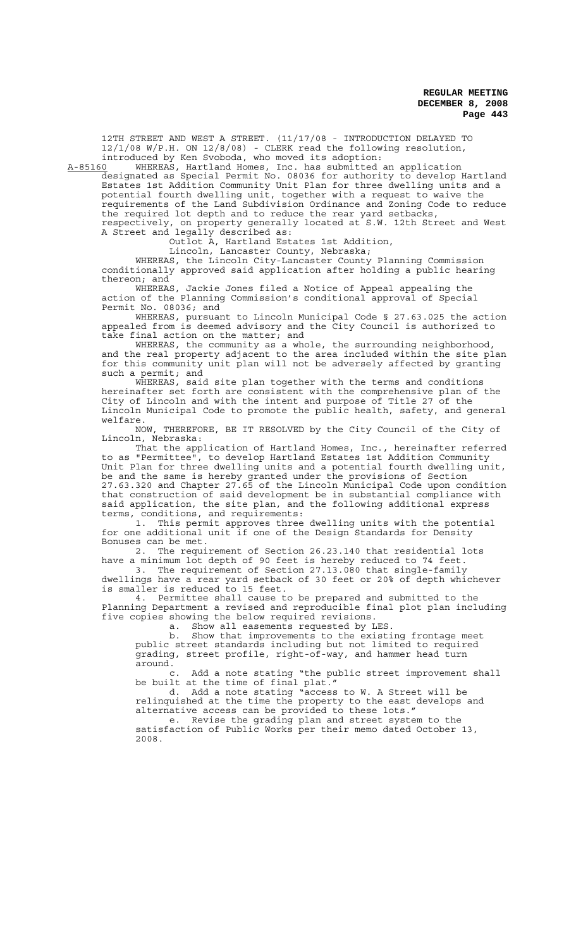12TH STREET AND WEST A STREET. (11/17/08 - INTRODUCTION DELAYED TO 12/1/08 W/P.H. ON 12/8/08) - CLERK read the following resolution, introduced by Ken Svoboda, who moved its adoption:<br>A-85160 WHEREAS, Hartland Homes, Inc. has submitted

WHEREAS, Hartland Homes, Inc. has submitted an application designated as Special Permit No. 08036 for authority to develop Hartland Estates 1st Addition Community Unit Plan for three dwelling units and a potential fourth dwelling unit, together with a request to waive the requirements of the Land Subdivision Ordinance and Zoning Code to reduce the required lot depth and to reduce the rear yard setbacks, respectively, on property generally located at S.W. 12th Street and West A Street and legally described as:

Outlot A, Hartland Estates 1st Addition,

Lincoln, Lancaster County, Nebraska;

WHEREAS, the Lincoln City-Lancaster County Planning Commission conditionally approved said application after holding a public hearing thereon; and

WHEREAS, Jackie Jones filed a Notice of Appeal appealing the action of the Planning Commission's conditional approval of Special Permit No. 08036; and

WHEREAS, pursuant to Lincoln Municipal Code § 27.63.025 the action appealed from is deemed advisory and the City Council is authorized to take final action on the matter; and

WHEREAS, the community as a whole, the surrounding neighborhood, and the real property adjacent to the area included within the site plan for this community unit plan will not be adversely affected by granting such a permit; and

WHEREAS, said site plan together with the terms and conditions hereinafter set forth are consistent with the comprehensive plan of the City of Lincoln and with the intent and purpose of Title 27 of the Lincoln Municipal Code to promote the public health, safety, and general

welfare.<br>NOW. THEREFORE, BE IT RESOLVED by the City Council of the City of Lincoln, Nebraska:

That the application of Hartland Homes, Inc., hereinafter referred to as "Permittee", to develop Hartland Estates 1st Addition Community Unit Plan for three dwelling units and a potential fourth dwelling unit, be and the same is hereby granted under the provisions of Section 27.63.320 and Chapter 27.65 of the Lincoln Municipal Code upon condition that construction of said development be in substantial compliance with said application, the site plan, and the following additional express terms, conditions, and requirements:

1. This permit approves three dwelling units with the potential for one additional unit if one of the Design Standards for Density Bonuses can be met.

2. The requirement of Section 26.23.140 that residential lots have a minimum lot depth of 90 feet is hereby reduced to 74 feet.

3. The requirement of Section 27.13.080 that single-family dwellings have a rear yard setback of 30 feet or 20% of depth whichever is smaller is reduced to 15 feet.

4. Permittee shall cause to be prepared and submitted to the Planning Department a revised and reproducible final plot plan including five copies showing the below required revisions. a. Show all easements requested by LES.

b. Show that improvements to the existing frontage meet public street standards including but not limited to required grading, street profile, right-of-way, and hammer head turn around.

c. Add a note stating "the public street improvement shall be built at the time of final plat."

d. Add a note stating "access to W. A Street will be relinquished at the time the property to the east develops and alternative access can be provided to these lots."

e. Revise the grading plan and street system to the satisfaction of Public Works per their memo dated October 13, 2008.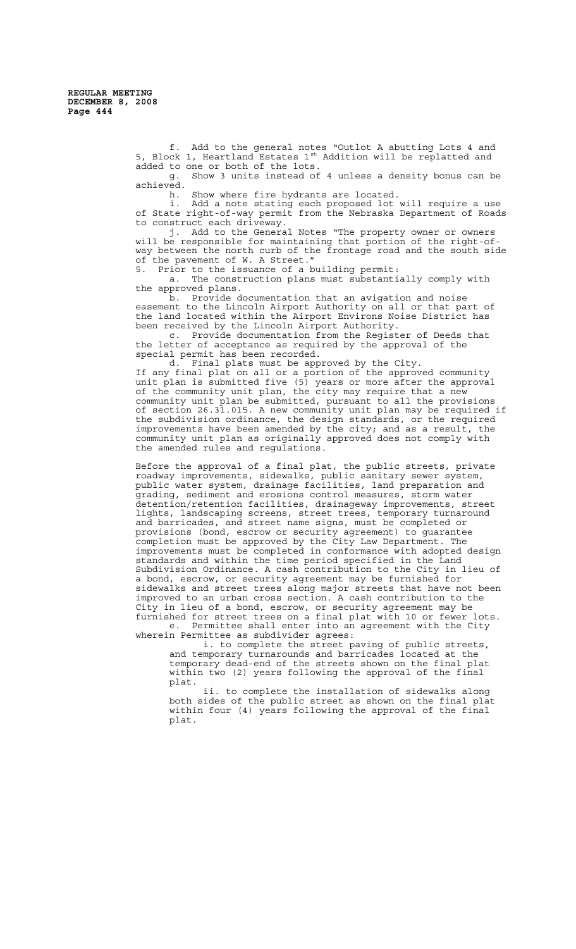f. Add to the general notes "Outlot A abutting Lots 4 and 5, Block 1, Heartland Estates 1st Addition will be replatted and added to one or both of the lots.

g. Show 3 units instead of 4 unless a density bonus can be achieved.<br>h.

Show where fire hydrants are located.

i. Add a note stating each proposed lot will require a use of State right-of-way permit from the Nebraska Department of Roads to construct each driveway.

j. Add to the General Notes "The property owner or owners will be responsible for maintaining that portion of the right-ofway between the north curb of the frontage road and the south side of the pavement of W. A Street."

5. Prior to the issuance of a building permit:

a. The construction plans must substantially comply with the approved plans.

b. Provide documentation that an avigation and noise easement to the Lincoln Airport Authority on all or that part of the land located within the Airport Environs Noise District has been received by the Lincoln Airport Authority.

c. Provide documentation from the Register of Deeds that the letter of acceptance as required by the approval of the special permit has been recorded.

d. Final plats must be approved by the City. If any final plat on all or a portion of the approved community unit plan is submitted five (5) years or more after the approval of the community unit plan, the city may require that a new community unit plan be submitted, pursuant to all the provisions of section 26.31.015. A new community unit plan may be required if the subdivision ordinance, the design standards, or the required improvements have been amended by the city; and as a result, the community unit plan as originally approved does not comply with the amended rules and regulations.

Before the approval of a final plat, the public streets, private roadway improvements, sidewalks, public sanitary sewer system, public water system, drainage facilities, land preparation and grading, sediment and erosions control measures, storm water detention/retention facilities, drainageway improvements, street lights, landscaping screens, street trees, temporary turnaround and barricades, and street name signs, must be completed or provisions (bond, escrow or security agreement) to guarantee completion must be approved by the City Law Department. The improvements must be completed in conformance with adopted design standards and within the time period specified in the Land Subdivision Ordinance. A cash contribution to the City in lieu of a bond, escrow, or security agreement may be furnished for sidewalks and street trees along major streets that have not been improved to an urban cross section. A cash contribution to the City in lieu of a bond, escrow, or security agreement may be furnished for street trees on a final plat with 10 or fewer lots.

e. Permittee shall enter into an agreement with the City wherein Permittee as subdivider agrees:

i. to complete the street paving of public streets, and temporary turnarounds and barricades located at the temporary dead-end of the streets shown on the final plat within two (2) years following the approval of the final plat.

ii. to complete the installation of sidewalks along both sides of the public street as shown on the final plat within four (4) years following the approval of the final plat.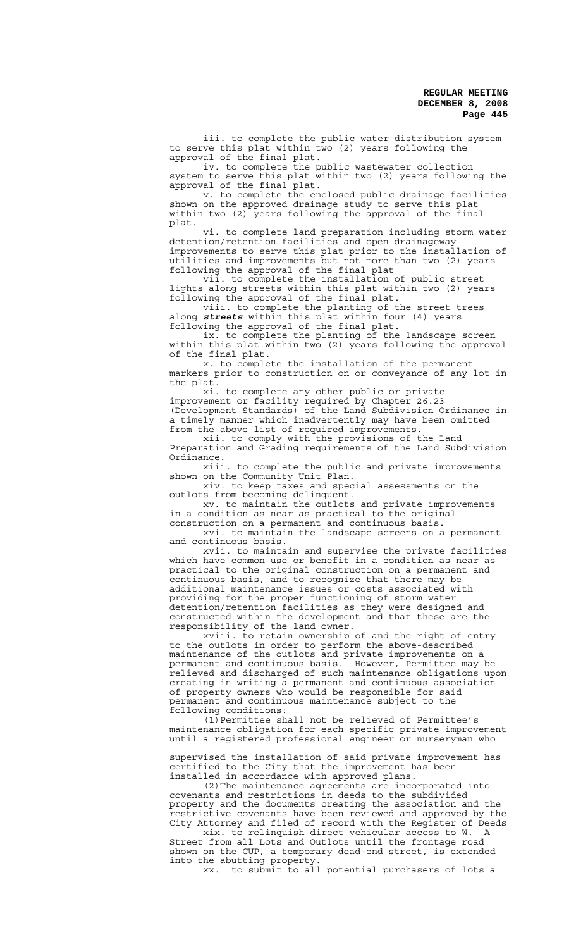iii. to complete the public water distribution system to serve this plat within two (2) years following the approval of the final plat.

iv. to complete the public wastewater collection system to serve this plat within two (2) years following the approval of the final plat.

v. to complete the enclosed public drainage facilities shown on the approved drainage study to serve this plat within two (2) years following the approval of the final plat.

vi. to complete land preparation including storm water detention/retention facilities and open drainageway improvements to serve this plat prior to the installation of utilities and improvements but not more than two (2) years following the approval of the final plat

vii. to complete the installation of public street lights along streets within this plat within two (2) years following the approval of the final plat.

viii. to complete the planting of the street trees along *streets* within this plat within four (4) years following the approval of the final plat.

ix. to complete the planting of the landscape screen within this plat within two (2) years following the approval of the final plat.

x. to complete the installation of the permanent markers prior to construction on or conveyance of any lot in the plat.<br>xi.

to complete any other public or private improvement or facility required by Chapter 26.23 (Development Standards) of the Land Subdivision Ordinance in a timely manner which inadvertently may have been omitted from the above list of required improvements.

xii. to comply with the provisions of the Land Preparation and Grading requirements of the Land Subdivision

Ordinance.<br>.iii xiii. to complete the public and private improvements shown on the Community Unit Plan.

xiv. to keep taxes and special assessments on the outlots from becoming delinquent.

xv. to maintain the outlots and private improvements in a condition as near as practical to the original construction on a permanent and continuous basis.

xvi. to maintain the landscape screens on a permanent and continuous basis.

xvii. to maintain and supervise the private facilities which have common use or benefit in a condition as near as practical to the original construction on a permanent and continuous basis, and to recognize that there may be additional maintenance issues or costs associated with providing for the proper functioning of storm water detention/retention facilities as they were designed and constructed within the development and that these are the responsibility of the land owner.

xviii. to retain ownership of and the right of entry to the outlots in order to perform the above-described maintenance of the outlots and private improvements on a permanent and continuous basis. However, Permittee may be relieved and discharged of such maintenance obligations upon creating in writing a permanent and continuous association of property owners who would be responsible for said permanent and continuous maintenance subject to the following conditions:

(1)Permittee shall not be relieved of Permittee's maintenance obligation for each specific private improvement until a registered professional engineer or nurseryman who

supervised the installation of said private improvement has certified to the City that the improvement has been installed in accordance with approved plans.

(2)The maintenance agreements are incorporated into covenants and restrictions in deeds to the subdivided property and the documents creating the association and the restrictive covenants have been reviewed and approved by the City Attorney and filed of record with the Register of Deeds

xix. to relinquish direct vehicular access to W. A Street from all Lots and Outlots until the frontage road shown on the CUP, a temporary dead-end street, is extended into the abutting property.

xx. to submit to all potential purchasers of lots a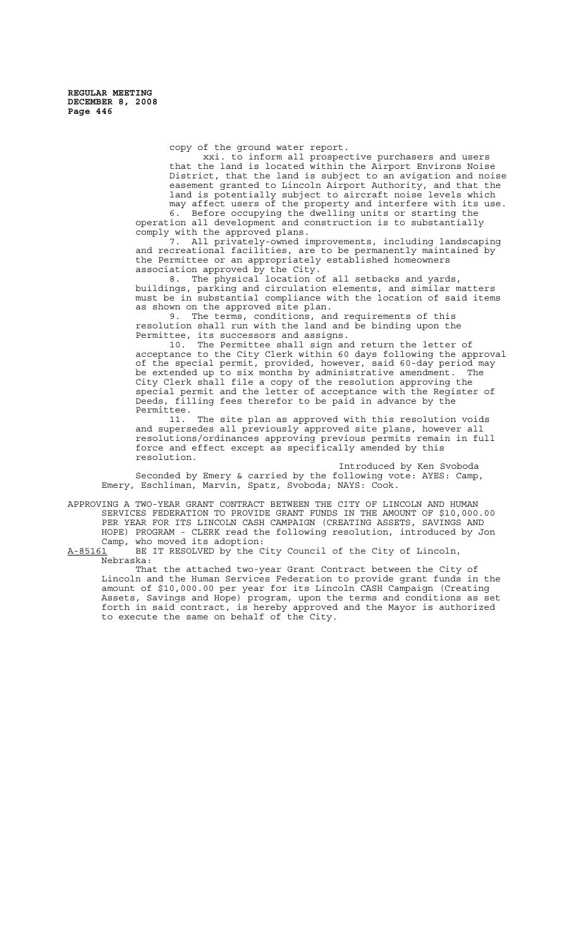copy of the ground water report.

xxi. to inform all prospective purchasers and users that the land is located within the Airport Environs Noise District, that the land is subject to an avigation and noise easement granted to Lincoln Airport Authority, and that the land is potentially subject to aircraft noise levels which may affect users of the property and interfere with its use.

6. Before occupying the dwelling units or starting the operation all development and construction is to substantially comply with the approved plans.

7. All privately-owned improvements, including landscaping and recreational facilities, are to be permanently maintained by the Permittee or an appropriately established homeowners association approved by the City.

8. The physical location of all setbacks and yards, buildings, parking and circulation elements, and similar matters must be in substantial compliance with the location of said items as shown on the approved site plan.

9. The terms, conditions, and requirements of this resolution shall run with the land and be binding upon the Permittee, its successors and assigns.

10. The Permittee shall sign and return the letter of acceptance to the City Clerk within 60 days following the approval of the special permit, provided, however, said 60-day period may be extended up to six months by administrative amendment. The City Clerk shall file a copy of the resolution approving the special permit and the letter of acceptance with the Register of Deeds, filling fees therefor to be paid in advance by the Permittee.

11. The site plan as approved with this resolution voids and supersedes all previously approved site plans, however all resolutions/ordinances approving previous permits remain in full force and effect except as specifically amended by this resolution.

Introduced by Ken Svoboda Seconded by Emery & carried by the following vote: AYES: Camp, Emery, Eschliman, Marvin, Spatz, Svoboda; NAYS: Cook.

APPROVING A TWO-YEAR GRANT CONTRACT BETWEEN THE CITY OF LINCOLN AND HUMAN SERVICES FEDERATION TO PROVIDE GRANT FUNDS IN THE AMOUNT OF \$10,000.00 PER YEAR FOR ITS LINCOLN CASH CAMPAIGN (CREATING ASSETS, SAVINGS AND HOPE) PROGRAM - CLERK read the following resolution, introduced by Jon Camp, who moved its adoption:<br>A-85161 BE IT RESOLVED by the C

BE IT RESOLVED by the City Council of the City of Lincoln, Nebraska:

That the attached two-year Grant Contract between the City of Lincoln and the Human Services Federation to provide grant funds in the amount of \$10,000.00 per year for its Lincoln CASH Campaign (Creating Assets, Savings and Hope) program, upon the terms and conditions as set forth in said contract, is hereby approved and the Mayor is authorized to execute the same on behalf of the City.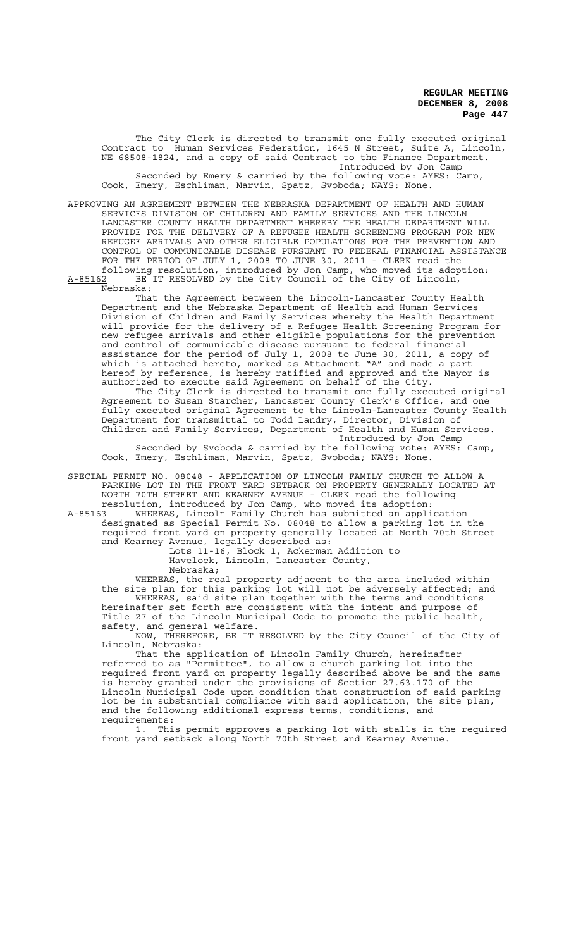The City Clerk is directed to transmit one fully executed original Contract to Human Services Federation, 1645 N Street, Suite A, Lincoln, NE 68508-1824, and a copy of said Contract to the Finance Department. Introduced by Jon Camp Seconded by Emery & carried by the following vote: AYES: Camp, Cook, Emery, Eschliman, Marvin, Spatz, Svoboda; NAYS: None.

APPROVING AN AGREEMENT BETWEEN THE NEBRASKA DEPARTMENT OF HEALTH AND HUMAN SERVICES DIVISION OF CHILDREN AND FAMILY SERVICES AND THE LINCOLN LANCASTER COUNTY HEALTH DEPARTMENT WHEREBY THE HEALTH DEPARTMENT WILL PROVIDE FOR THE DELIVERY OF A REFUGEE HEALTH SCREENING PROGRAM FOR NEW REFUGEE ARRIVALS AND OTHER ELIGIBLE POPULATIONS FOR THE PREVENTION AND CONTROL OF COMMUNICABLE DISEASE PURSUANT TO FEDERAL FINANCIAL ASSISTANCE FOR THE PERIOD OF JULY 1, 2008 TO JUNE 30, 2011 - CLERK read the following resolution, introduced by Jon Camp, who moved its adoption: A-85162 BE IT RESOLVED by the City Council of the City of Lincoln,

Nebraska:

That the Agreement between the Lincoln-Lancaster County Health Department and the Nebraska Department of Health and Human Services Division of Children and Family Services whereby the Health Department will provide for the delivery of a Refugee Health Screening Program for new refugee arrivals and other eligible populations for the prevention and control of communicable disease pursuant to federal financial assistance for the period of July 1, 2008 to June 30, 2011, a copy of which is attached hereto, marked as Attachment "A" and made a part hereof by reference, is hereby ratified and approved and the Mayor is authorized to execute said Agreement on behalf of the City.

The City Clerk is directed to transmit one fully executed original Agreement to Susan Starcher, Lancaster County Clerk's Office, and one fully executed original Agreement to the Lincoln-Lancaster County Health Department for transmittal to Todd Landry, Director, Division of Children and Family Services, Department of Health and Human Services. Introduced by Jon Camp

Seconded by Svoboda & carried by the following vote: AYES: Camp, Cook, Emery, Eschliman, Marvin, Spatz, Svoboda; NAYS: None.

SPECIAL PERMIT NO. 08048 - APPLICATION OF LINCOLN FAMILY CHURCH TO ALLOW A PARKING LOT IN THE FRONT YARD SETBACK ON PROPERTY GENERALLY LOCATED AT NORTH 70TH STREET AND KEARNEY AVENUE - CLERK read the following resolution, introduced by Jon Camp, who moved its adoption:

A-85163 WHEREAS, Lincoln Family Church has submitted an application designated as Special Permit No. 08048 to allow a parking lot in the required front yard on property generally located at North 70th Street and Kearney Avenue, legally described as:

Lots 11-16, Block 1, Ackerman Addition to Havelock, Lincoln, Lancaster County, Nebraska;

WHEREAS, the real property adjacent to the area included within the site plan for this parking lot will not be adversely affected; and WHEREAS, said site plan together with the terms and conditions hereinafter set forth are consistent with the intent and purpose of Title 27 of the Lincoln Municipal Code to promote the public health, safety, and general welfare.

NOW, THEREFORE, BE IT RESOLVED by the City Council of the City of Lincoln, Nebraska:

That the application of Lincoln Family Church, hereinafter referred to as "Permittee", to allow a church parking lot into the required front yard on property legally described above be and the same is hereby granted under the provisions of Section 27.63.170 of the Lincoln Municipal Code upon condition that construction of said parking lot be in substantial compliance with said application, the site plan, and the following additional express terms, conditions, and requirements:

1. This permit approves a parking lot with stalls in the required front yard setback along North 70th Street and Kearney Avenue.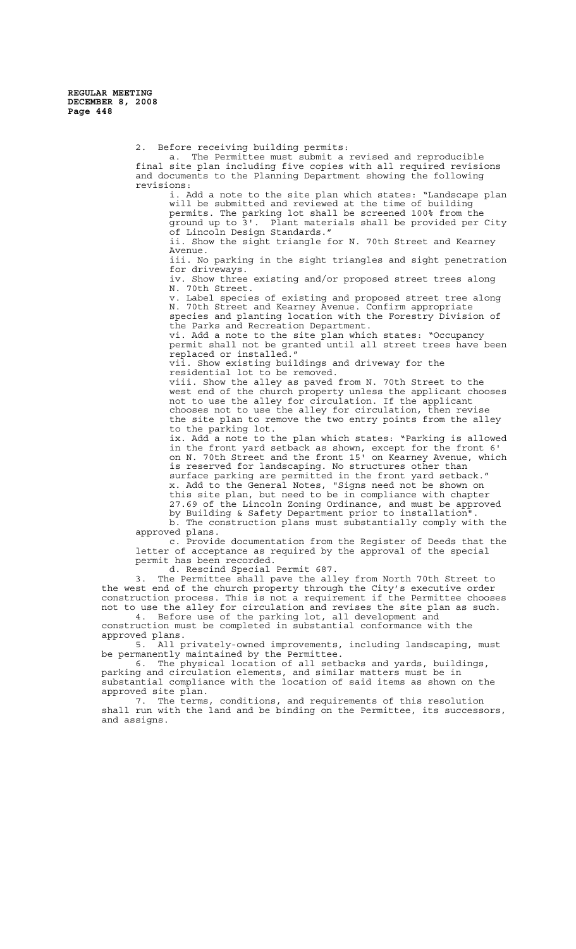> 2. Before receiving building permits: a. The Permittee must submit a revised and reproducible final site plan including five copies with all required revisions and documents to the Planning Department showing the following revisions: i. Add a note to the site plan which states: "Landscape plan will be submitted and reviewed at the time of building permits. The parking lot shall be screened 100% from the ground up to 3'. Plant materials shall be provided per City of Lincoln Design Standards." ii. Show the sight triangle for N. 70th Street and Kearney Avenue. iii. No parking in the sight triangles and sight penetration for driveways. Show three existing and/or proposed street trees along iv. Show three<br>N. 70th Street. v. Label species of existing and proposed street tree along N. 70th Street and Kearney Avenue. Confirm appropriate species and planting location with the Forestry Division of the Parks and Recreation Department. vi. Add a note to the site plan which states: "Occupancy permit shall not be granted until all street trees have been replaced or installed." vii. Show existing buildings and driveway for the residential lot to be removed. viii. Show the alley as paved from N. 70th Street to the west end of the church property unless the applicant chooses not to use the alley for circulation. If the applicant chooses not to use the alley for circulation, then revise the site plan to remove the two entry points from the alley to the parking lot. ix. Add a note to the plan which states: "Parking is allowed in the front yard setback as shown, except for the front 6' on N. 70th Street and the front 15' on Kearney Avenue, which is reserved for landscaping. No structures other than surface parking are permitted in the front yard setback." x. Add to the General Notes, "Signs need not be shown on this site plan, but need to be in compliance with chapter 27.69 of the Lincoln Zoning Ordinance, and must be approved by Building & Safety Department prior to installation". b. The construction plans must substantially comply with the approved plans. c. Provide documentation from the Register of Deeds that the letter of acceptance as required by the approval of the special permit has been recorded.

d. Rescind Special Permit 687.

3. The Permittee shall pave the alley from North 70th Street to the west end of the church property through the City's executive order construction process. This is not a requirement if the Permittee chooses not to use the alley for circulation and revises the site plan as such. 4. Before use of the parking lot, all development and

construction must be completed in substantial conformance with the approved plans.

5. All privately-owned improvements, including landscaping, must be permanently maintained by the Permittee.

6. The physical location of all setbacks and yards, buildings, parking and circulation elements, and similar matters must be in substantial compliance with the location of said items as shown on the approved site plan.

7. The terms, conditions, and requirements of this resolution shall run with the land and be binding on the Permittee, its successors, and assigns.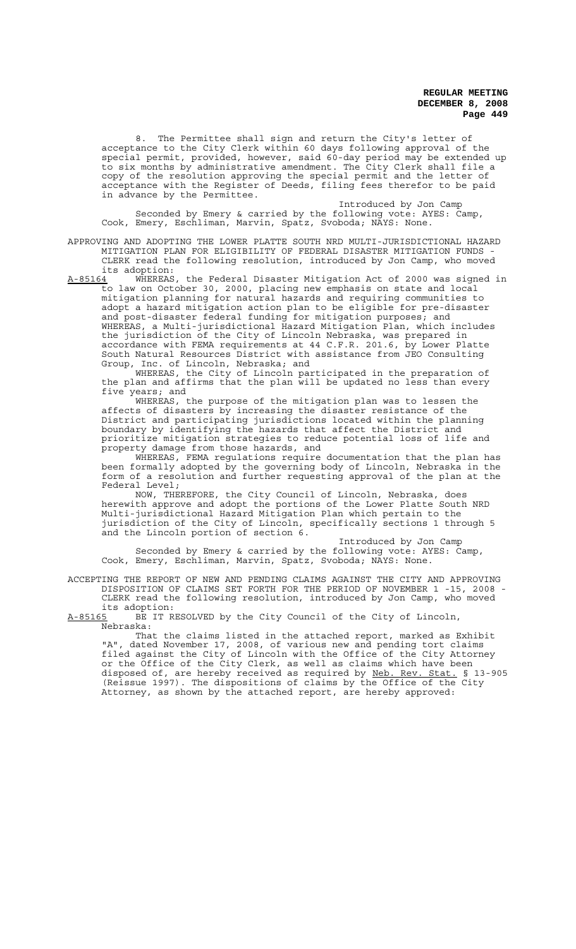8. The Permittee shall sign and return the City's letter of acceptance to the City Clerk within 60 days following approval of the special permit, provided, however, said 60-day period may be extended up to six months by administrative amendment. The City Clerk shall file a copy of the resolution approving the special permit and the letter of acceptance with the Register of Deeds, filing fees therefor to be paid in advance by the Permittee.

Introduced by Jon Camp Seconded by Emery & carried by the following vote: AYES: Camp, Cook, Emery, Eschliman, Marvin, Spatz, Svoboda; NAYS: None.

APPROVING AND ADOPTING THE LOWER PLATTE SOUTH NRD MULTI-JURISDICTIONAL HAZARD MITIGATION PLAN FOR ELIGIBILITY OF FEDERAL DISASTER MITIGATION FUNDS CLERK read the following resolution, introduced by Jon Camp, who moved its adoption:

A-85164 WHEREAS, the Federal Disaster Mitigation Act of 2000 was signed in to law on October 30, 2000, placing new emphasis on state and local mitigation planning for natural hazards and requiring communities to adopt a hazard mitigation action plan to be eligible for pre-disaster and post-disaster federal funding for mitigation purposes; and WHEREAS, a Multi-jurisdictional Hazard Mitigation Plan, which includes the jurisdiction of the City of Lincoln Nebraska, was prepared in accordance with FEMA requirements at 44 C.F.R. 201.6, by Lower Platte South Natural Resources District with assistance from JEO Consulting Group, Inc. of Lincoln, Nebraska; and

WHEREAS, the City of Lincoln participated in the preparation of the plan and affirms that the plan will be updated no less than every five years; and

WHEREAS, the purpose of the mitigation plan was to lessen the affects of disasters by increasing the disaster resistance of the District and participating jurisdictions located within the planning boundary by identifying the hazards that affect the District and prioritize mitigation strategies to reduce potential loss of life and property damage from those hazards, and

WHEREAS, FEMA regulations require documentation that the plan has been formally adopted by the governing body of Lincoln, Nebraska in the form of a resolution and further requesting approval of the plan at the Federal Level;

NOW, THEREFORE, the City Council of Lincoln, Nebraska, does herewith approve and adopt the portions of the Lower Platte South NRD Multi-jurisdictional Hazard Mitigation Plan which pertain to the jurisdiction of the City of Lincoln, specifically sections 1 through 5 and the Lincoln portion of section 6.

Introduced by Jon Camp Seconded by Emery & carried by the following vote: AYES: Camp, Cook, Emery, Eschliman, Marvin, Spatz, Svoboda; NAYS: None.

ACCEPTING THE REPORT OF NEW AND PENDING CLAIMS AGAINST THE CITY AND APPROVING DISPOSITION OF CLAIMS SET FORTH FOR THE PERIOD OF NOVEMBER 1 -15, 2008 CLERK read the following resolution, introduced by Jon Camp, who moved its adoption:

A-85165 BE IT RESOLVED by the City Council of the City of Lincoln, Nebraska:

That the claims listed in the attached report, marked as Exhibit "A", dated November 17, 2008, of various new and pending tort claims filed against the City of Lincoln with the Office of the City Attorney or the Office of the City Clerk, as well as claims which have been disposed of, are hereby received as required by Neb. Rev. Stat. § 13-905 (Reissue 1997). The dispositions of claims by the Office of the City Attorney, as shown by the attached report, are hereby approved: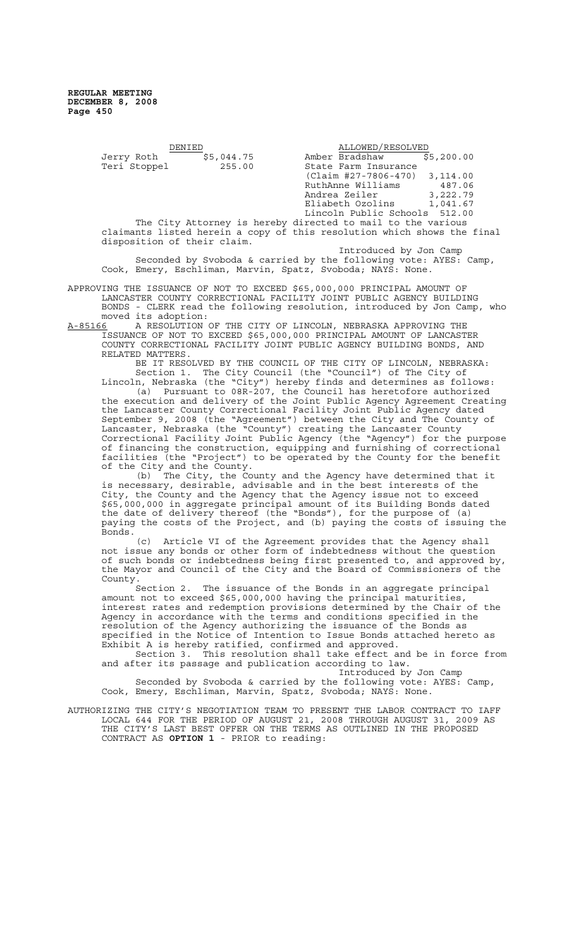| DENIEL                      |            | ALLOWED/RESOLVED                                                        |            |
|-----------------------------|------------|-------------------------------------------------------------------------|------------|
| Jerry Roth                  | \$5,044.75 | Amber Bradshaw                                                          | \$5,200.00 |
| Teri Stoppel                | 255.00     | State Farm Insurance                                                    |            |
|                             |            | $(Claim #27-7806-470)$                                                  | 3,114.00   |
|                             |            | RuthAnne Williams                                                       | 487.06     |
|                             |            | Andrea Zeiler                                                           | 3,222.79   |
|                             |            | Eliabeth Ozolins                                                        | 1,041.67   |
|                             |            | Lincoln Public Schools 512.00                                           |            |
|                             |            | The City Attorney is hereby directed to mail to the various             |            |
|                             |            | claimants listed herein a copy of this resolution which shows the final |            |
| disposition of their claim. |            |                                                                         |            |

Introduced by Jon Camp Seconded by Svoboda & carried by the following vote: AYES: Camp, Cook, Emery, Eschliman, Marvin, Spatz, Svoboda; NAYS: None.

APPROVING THE ISSUANCE OF NOT TO EXCEED \$65,000,000 PRINCIPAL AMOUNT OF LANCASTER COUNTY CORRECTIONAL FACILITY JOINT PUBLIC AGENCY BUILDING BONDS - CLERK read the following resolution, introduced by Jon Camp, who moved its adoption:

A-85166 A RESOLUTION OF THE CITY OF LINCOLN, NEBRASKA APPROVING THE ISSUANCE OF NOT TO EXCEED \$65,000,000 PRINCIPAL AMOUNT OF LANCASTER COUNTY CORRECTIONAL FACILITY JOINT PUBLIC AGENCY BUILDING BONDS, AND RELATED MATTERS.

BE IT RESOLVED BY THE COUNCIL OF THE CITY OF LINCOLN, NEBRASKA: Section 1. The City Council (the "Council") of The City of

Lincoln, Nebraska (the "City") hereby finds and determines as follows: (a) Pursuant to 08R-207, the Council has heretofore authorized the execution and delivery of the Joint Public Agency Agreement Creating the Lancaster County Correctional Facility Joint Public Agency dated September 9, 2008 (the "Agreement") between the City and The County of Lancaster, Nebraska (the "County") creating the Lancaster County Correctional Facility Joint Public Agency (the "Agency") for the purpose of financing the construction, equipping and furnishing of correctional facilities (the "Project") to be operated by the County for the benefit of the City and the County.

(b) The City, the County and the Agency have determined that it is necessary, desirable, advisable and in the best interests of the City, the County and the Agency that the Agency issue not to exceed \$65,000,000 in aggregate principal amount of its Building Bonds dated the date of delivery thereof (the "Bonds"), for the purpose of (a) paying the costs of the Project, and (b) paying the costs of issuing the Bonds.

(c) Article VI of the Agreement provides that the Agency shall not issue any bonds or other form of indebtedness without the question of such bonds or indebtedness being first presented to, and approved by, the Mayor and Council of the City and the Board of Commissioners of the County.

Section 2. The issuance of the Bonds in an aggregate principal amount not to exceed \$65,000,000 having the principal maturities,<br>interest rates and redemption provisions determined by the Chair of the interest rates and redemption provisions determined by the Chair of the Agency in accordance with the terms and conditions specified in the resolution of the Agency authorizing the issuance of the Bonds as specified in the Notice of Intention to Issue Bonds attached hereto as Exhibit A is hereby ratified, confirmed and approved.

Section 3. This resolution shall take effect and be in force from and after its passage and publication according to law.

Introduced by Jon Camp Seconded by Svoboda & carried by the following vote: AYES: Camp, Cook, Emery, Eschliman, Marvin, Spatz, Svoboda; NAYS: None.

AUTHORIZING THE CITY'S NEGOTIATION TEAM TO PRESENT THE LABOR CONTRACT TO IAFF LOCAL 644 FOR THE PERIOD OF AUGUST 21, 2008 THROUGH AUGUST 31, 2009 AS THE CITY'S LAST BEST OFFER ON THE TERMS AS OUTLINED IN THE PROPOSED CONTRACT AS **OPTION 1** - PRIOR to reading: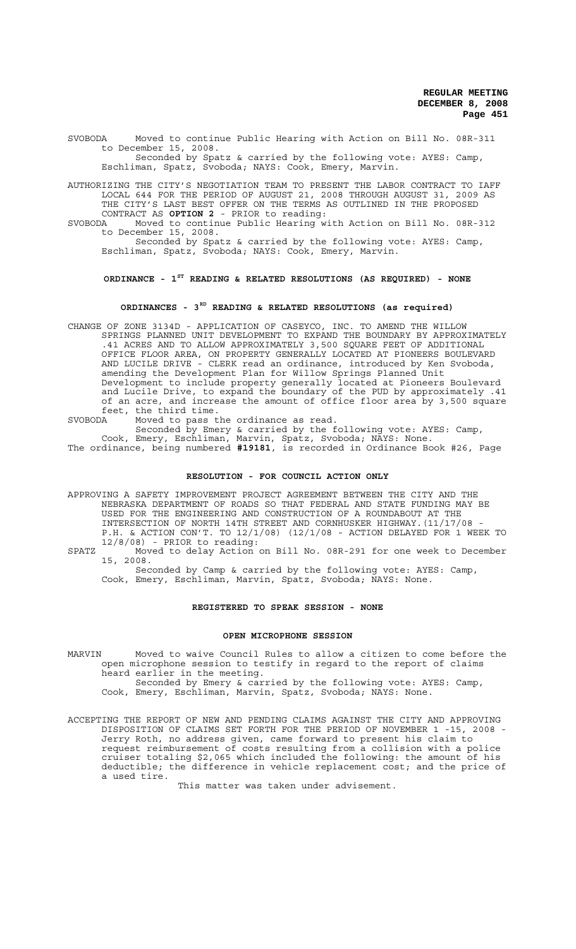SVOBODA Moved to continue Public Hearing with Action on Bill No. 08R-311 to December 15, 2008. Seconded by Spatz & carried by the following vote: AYES: Camp,

Eschliman, Spatz, Svoboda; NAYS: Cook, Emery, Marvin.

AUTHORIZING THE CITY'S NEGOTIATION TEAM TO PRESENT THE LABOR CONTRACT TO IAFF LOCAL 644 FOR THE PERIOD OF AUGUST 21, 2008 THROUGH AUGUST 31, 2009 AS THE CITY'S LAST BEST OFFER ON THE TERMS AS OUTLINED IN THE PROPOSED CONTRACT AS **OPTION 2** - PRIOR to reading:<br>SVORODA Moved to continue Public Hearing w

Moved to continue Public Hearing with Action on Bill No. 08R-312 to December 15, 2008.

Seconded by Spatz & carried by the following vote: AYES: Camp, Eschliman, Spatz, Svoboda; NAYS: Cook, Emery, Marvin.

# **ORDINANCE - 1ST READING & RELATED RESOLUTIONS (AS REQUIRED) - NONE**

# **ORDINANCES - 3RD READING & RELATED RESOLUTIONS (as required)**

CHANGE OF ZONE 3134D - APPLICATION OF CASEYCO, INC. TO AMEND THE WILLOW SPRINGS PLANNED UNIT DEVELOPMENT TO EXPAND THE BOUNDARY BY APPROXIMATELY .41 ACRES AND TO ALLOW APPROXIMATELY 3,500 SQUARE FEET OF ADDITIONAL OFFICE FLOOR AREA, ON PROPERTY GENERALLY LOCATED AT PIONEERS BOULEVARD AND LUCILE DRIVE - CLERK read an ordinance, introduced by Ken Svoboda, amending the Development Plan for Willow Springs Planned Unit Development to include property generally located at Pioneers Boulevard and Lucile Drive, to expand the boundary of the PUD by approximately .41 of an acre, and increase the amount of office floor area by 3,500 square feet, the third time.

SVOBODA Moved to pass the ordinance as read. Seconded by Emery & carried by the following vote: AYES: Camp, Cook, Emery, Eschliman, Marvin, Spatz, Svoboda; NAYS: None.

The ordinance, being numbered **#19181**, is recorded in Ordinance Book #26, Page

# **RESOLUTION - FOR COUNCIL ACTION ONLY**

APPROVING A SAFETY IMPROVEMENT PROJECT AGREEMENT BETWEEN THE CITY AND THE NEBRASKA DEPARTMENT OF ROADS SO THAT FEDERAL AND STATE FUNDING MAY BE USED FOR THE ENGINEERING AND CONSTRUCTION OF A ROUNDABOUT AT THE INTERSECTION OF NORTH 14TH STREET AND CORNHUSKER HIGHWAY. (11/17/08 P.H. & ACTION CON'T. TO 12/1/08) (12/1/08 - ACTION DELAYED FOR 1 WEEK TO 12/8/08) - PRIOR to reading:

SPATZ Moved to delay Action on Bill No. 08R-291 for one week to December 15, 2008.

Seconded by Camp & carried by the following vote: AYES: Camp, Cook, Emery, Eschliman, Marvin, Spatz, Svoboda; NAYS: None.

# **REGISTERED TO SPEAK SESSION - NONE**

# **OPEN MICROPHONE SESSION**

- MARVIN Moved to waive Council Rules to allow a citizen to come before the open microphone session to testify in regard to the report of claims heard earlier in the meeting. Seconded by Emery & carried by the following vote: AYES: Camp, Cook, Emery, Eschliman, Marvin, Spatz, Svoboda; NAYS: None.
- ACCEPTING THE REPORT OF NEW AND PENDING CLAIMS AGAINST THE CITY AND APPROVING DISPOSITION OF CLAIMS SET FORTH FOR THE PERIOD OF NOVEMBER 1 -15, 2008 - Jerry Roth, no address given, came forward to present his claim to request reimbursement of costs resulting from a collision with a police cruiser totaling \$2,065 which included the following: the amount of his deductible; the difference in vehicle replacement cost; and the price of a used tire.

This matter was taken under advisement.